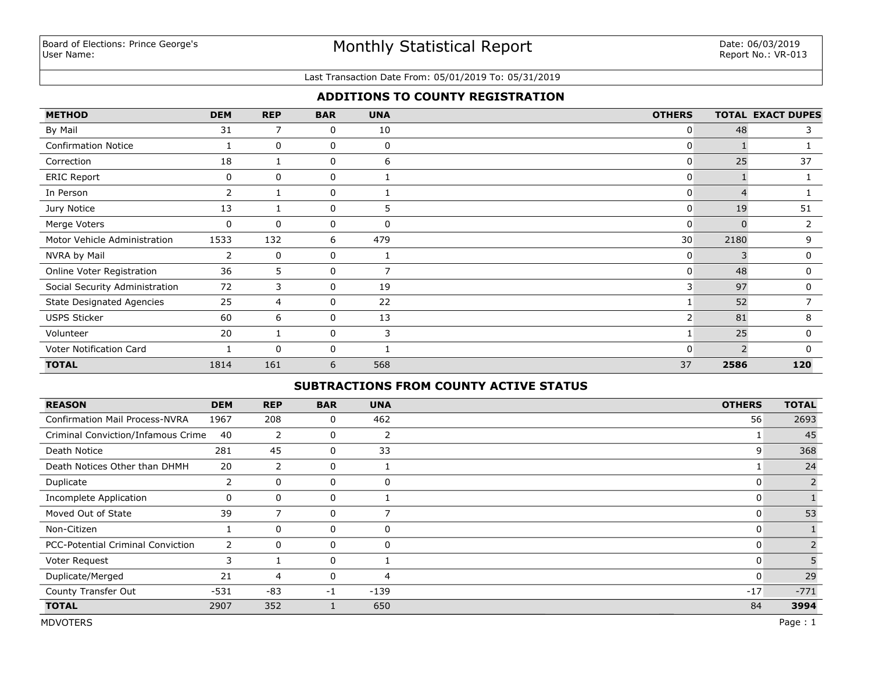# Monthly Statistical Report

#### Last Transaction Date From: 05/01/2019 To: 05/31/2019

## **ADDITIONS TO COUNTY REGISTRATION**

| <b>METHOD</b>                    | <b>DEM</b> | <b>REP</b>   | <b>BAR</b> | <b>UNA</b> | <b>OTHERS</b>  |      | <b>TOTAL EXACT DUPES</b> |
|----------------------------------|------------|--------------|------------|------------|----------------|------|--------------------------|
| By Mail                          | 31         | 7            | 0          | 10         | 0              | 48   | 3                        |
| <b>Confirmation Notice</b>       |            | $\mathbf 0$  | 0          | 0          | 0              |      |                          |
| Correction                       | 18         |              | 0          | 6          | $\overline{0}$ | 25   | 37                       |
| <b>ERIC Report</b>               | 0          | $\Omega$     | 0          |            | 0              |      |                          |
| In Person                        | 2          |              | 0          |            | 0              |      |                          |
| Jury Notice                      | 13         |              | 0          | 5          | 0              | 19   | 51                       |
| Merge Voters                     | $\Omega$   | $\mathbf{0}$ | 0          | $\Omega$   | 0              |      |                          |
| Motor Vehicle Administration     | 1533       | 132          | 6          | 479        | 30             | 2180 | 9                        |
| NVRA by Mail                     | 2          | $\Omega$     | 0          |            | 0              |      | 0                        |
| Online Voter Registration        | 36         | 5            | 0          | 7          | 0              | 48   | $\mathbf 0$              |
| Social Security Administration   | 72         | 3            | 0          | 19         | 3              | 97   | 0                        |
| <b>State Designated Agencies</b> | 25         | 4            | 0          | 22         |                | 52   |                          |
| <b>USPS Sticker</b>              | 60         | 6            | 0          | 13         | 2 <sup>1</sup> | 81   | 8                        |
| Volunteer                        | 20         |              | 0          | 3          |                | 25   | 0                        |
| Voter Notification Card          |            | $\Omega$     | 0          |            | O              |      | $\Omega$                 |
| <b>TOTAL</b>                     | 1814       | 161          | 6          | 568        | 37             | 2586 | 120                      |

## **SUBTRACTIONS FROM COUNTY ACTIVE STATUS**

| <b>REASON</b>                            | <b>DEM</b>     | <b>REP</b>     | <b>BAR</b> | <b>UNA</b>     | <b>OTHERS</b> | <b>TOTAL</b>   |
|------------------------------------------|----------------|----------------|------------|----------------|---------------|----------------|
| <b>Confirmation Mail Process-NVRA</b>    | 1967           | 208            | 0          | 462            | 56            | 2693           |
| Criminal Conviction/Infamous Crime       | 40             | $\overline{2}$ | 0          | 2              |               | 45             |
| Death Notice                             | 281            | 45             | 0          | 33             | 9             | 368            |
| Death Notices Other than DHMH            | 20             | 2              | 0          |                |               | 24             |
| Duplicate                                | 2              | $\mathbf 0$    | 0          | 0              |               | $\overline{2}$ |
| <b>Incomplete Application</b>            | 0              | $\mathbf 0$    | 0          |                |               |                |
| Moved Out of State                       | 39             | 7              | 0          | $\overline{ }$ | 0             | 53             |
| Non-Citizen                              |                | $\mathbf{0}$   | 0          | 0              | 0             |                |
| <b>PCC-Potential Criminal Conviction</b> | $\overline{2}$ | $\mathbf{0}$   | 0          | 0              |               |                |
| Voter Request                            | 3              |                | 0          |                | 0             |                |
| Duplicate/Merged                         | 21             | 4              | 0          | 4              | 0             | 29             |
| County Transfer Out                      | $-531$         | -83            | $-1$       | $-139$         | $-17$         | $-771$         |
| <b>TOTAL</b>                             | 2907           | 352            |            | 650            | 84            | 3994           |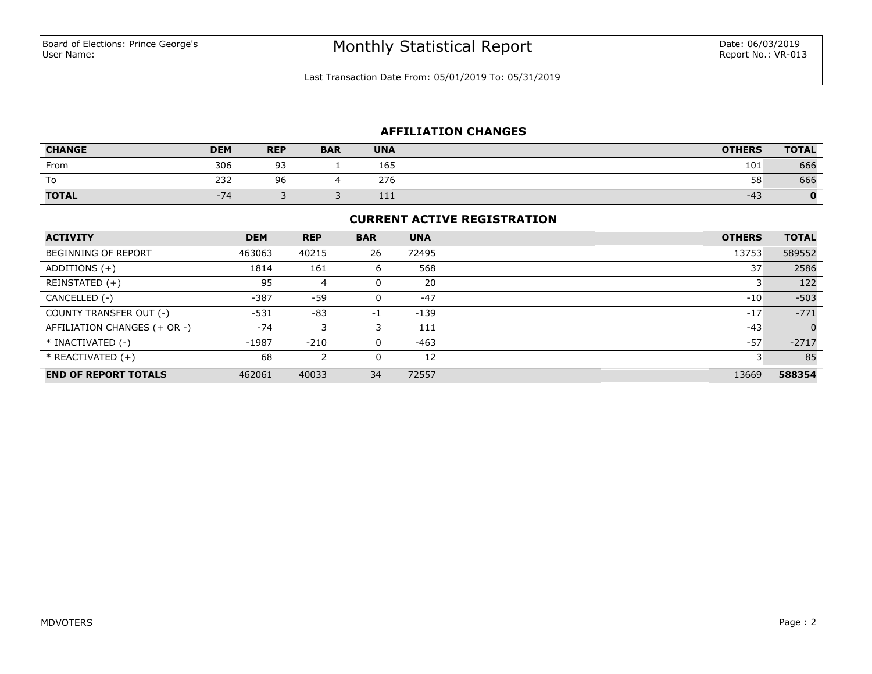Last Transaction Date From: 05/01/2019 To: 05/31/2019

## **AFFILIATION CHANGES**

| <b>CHANGE</b> | <b>DEM</b> | <b>REP</b>   | <b>BAR</b> | <b>UNA</b> | <b>OTHERS</b> | <b>TOTAL</b> |
|---------------|------------|--------------|------------|------------|---------------|--------------|
| From          | 306        | $\sim$<br>-- |            | 165        | 101           | 666          |
| To            | 232        | 96           |            | 276        | 58            | 666          |
| <b>TOTAL</b>  | $-74$      |              |            | 111        | $-43$         | o            |

#### **CURRENT ACTIVE REGISTRATION**

| <b>ACTIVITY</b>              | <b>DEM</b> | <b>REP</b> | <b>BAR</b> | <b>UNA</b> | <b>OTHERS</b> | <b>TOTAL</b> |
|------------------------------|------------|------------|------------|------------|---------------|--------------|
| <b>BEGINNING OF REPORT</b>   | 463063     | 40215      | 26         | 72495      | 13753         | 589552       |
| ADDITIONS $(+)$              | 1814       | 161        | 6          | 568        | 37            | 2586         |
| REINSTATED (+)               | 95         | 4          | 0          | 20         |               | 122          |
| CANCELLED (-)                | $-387$     | -59        | 0          | $-47$      | $-10$         | $-503$       |
| COUNTY TRANSFER OUT (-)      | $-531$     | $-83$      | $-1$       | $-139$     | $-17$         | $-771$       |
| AFFILIATION CHANGES (+ OR -) | $-74$      |            |            | 111        | $-43$         | $\Omega$     |
| * INACTIVATED (-)            | $-1987$    | $-210$     | 0          | $-463$     | $-57$         | $-2717$      |
| $*$ REACTIVATED $(+)$        | 68         | 2          | 0          | 12         |               | 85           |
| <b>END OF REPORT TOTALS</b>  | 462061     | 40033      | 34         | 72557      | 13669         | 588354       |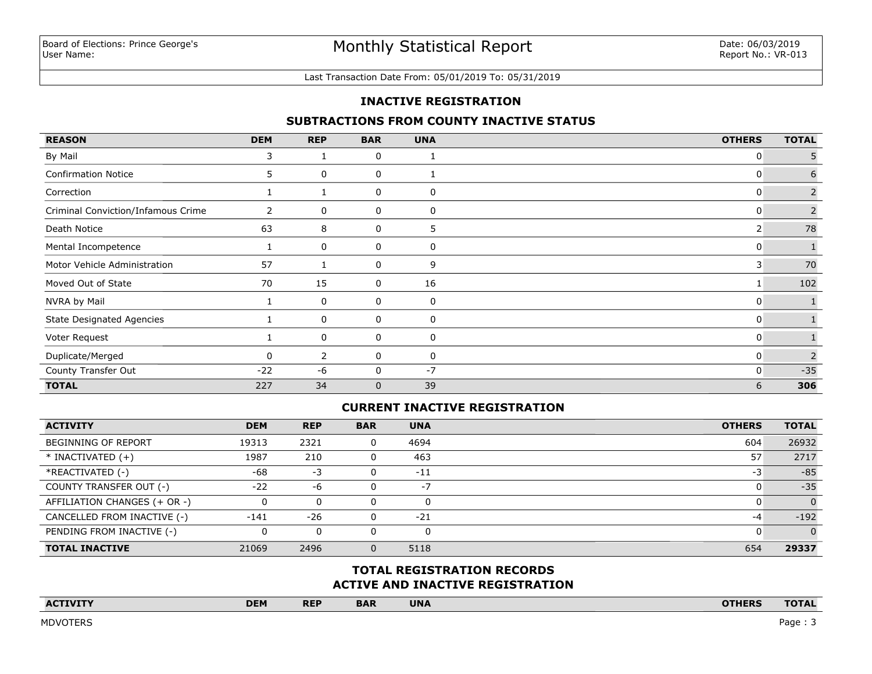#### Last Transaction Date From: 05/01/2019 To: 05/31/2019

### **INACTIVE REGISTRATION**

### **SUBTRACTIONS FROM COUNTY INACTIVE STATUS**

| <b>REASON</b>                      | <b>DEM</b>     | <b>REP</b> | <b>BAR</b>   | <b>UNA</b> | <b>OTHERS</b> | <b>TOTAL</b>   |
|------------------------------------|----------------|------------|--------------|------------|---------------|----------------|
| By Mail                            | 3              |            | 0            |            | 0             | 5              |
| <b>Confirmation Notice</b>         | 5.             | 0          | 0            |            | 0             | 6              |
| Correction                         |                |            | 0            | 0          | 0             | $\overline{2}$ |
| Criminal Conviction/Infamous Crime | $\overline{2}$ | 0          | 0            | 0          | 0             | $\overline{2}$ |
| Death Notice                       | 63             | 8          | 0            | 5          | 2             | 78             |
| Mental Incompetence                |                | 0          | 0            | 0          | 0             |                |
| Motor Vehicle Administration       | 57             |            | 0            | 9          | 3             | 70             |
| Moved Out of State                 | 70             | 15         | 0            | 16         |               | 102            |
| NVRA by Mail                       |                | 0          | 0            | 0          | 0             |                |
| <b>State Designated Agencies</b>   |                | 0          | 0            | 0          | 0             |                |
| Voter Request                      |                | 0          | 0            | 0          | 0             |                |
| Duplicate/Merged                   | 0              | 2          | 0            | 0          | 0             | $\overline{2}$ |
| County Transfer Out                | $-22$          | -6         | 0            | $-7$       | 0             | $-35$          |
| <b>TOTAL</b>                       | 227            | 34         | $\mathbf{0}$ | 39         | 6             | 306            |

## **CURRENT INACTIVE REGISTRATION**

| <b>ACTIVITY</b>              | <b>DEM</b> | <b>REP</b> | <b>BAR</b> | <b>UNA</b> | <b>OTHERS</b> | <b>TOTAL</b> |
|------------------------------|------------|------------|------------|------------|---------------|--------------|
| <b>BEGINNING OF REPORT</b>   | 19313      | 2321       | 0          | 4694       | 604           | 26932        |
| $*$ INACTIVATED $(+)$        | 1987       | 210        |            | 463        | 57            | 2717         |
| *REACTIVATED (-)             | -68        | -3         |            | $-11$      | -3            | $-85$        |
| COUNTY TRANSFER OUT (-)      | $-22$      | -6         |            | $-7$       |               | $-35$        |
| AFFILIATION CHANGES (+ OR -) |            | 0          | 0          |            |               |              |
| CANCELLED FROM INACTIVE (-)  | $-141$     | $-26$      |            | $-21$      | -4            | $-192$       |
| PENDING FROM INACTIVE (-)    |            | $\Omega$   | 0          |            |               |              |
| <b>TOTAL INACTIVE</b>        | 21069      | 2496       | 0.         | 5118       | 654           | 29337        |

## **ACTIVE AND INACTIVE REGISTRATION TOTAL REGISTRATION RECORDS**

| $\Lambda C$<br>the contract of the contract of the contract of the contract of the contract of | <b>DEM</b> | <b>REP</b> | <b>BAR</b> | <b>UNA</b> | <b>ATUEDC</b><br>INEN<br>_______ | $\overline{\phantom{a}}$ |
|------------------------------------------------------------------------------------------------|------------|------------|------------|------------|----------------------------------|--------------------------|
|                                                                                                |            |            |            |            |                                  |                          |